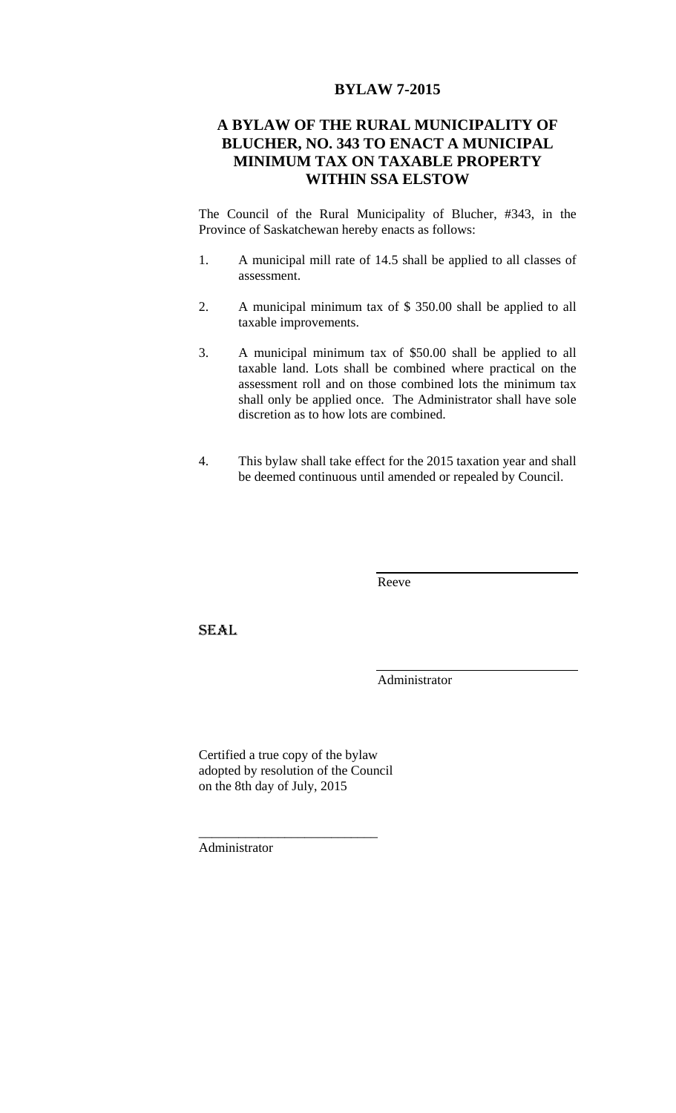## **BYLAW 7-2015**

## **A BYLAW OF THE RURAL MUNICIPALITY OF BLUCHER, NO. 343 TO ENACT A MUNICIPAL MINIMUM TAX ON TAXABLE PROPERTY WITHIN SSA ELSTOW**

The Council of the Rural Municipality of Blucher, #343, in the Province of Saskatchewan hereby enacts as follows:

- 1. A municipal mill rate of 14.5 shall be applied to all classes of assessment.
- 2. A municipal minimum tax of \$ 350.00 shall be applied to all taxable improvements.
- 3. A municipal minimum tax of \$50.00 shall be applied to all taxable land. Lots shall be combined where practical on the assessment roll and on those combined lots the minimum tax shall only be applied once. The Administrator shall have sole discretion as to how lots are combined.
- 4. This bylaw shall take effect for the 2015 taxation year and shall be deemed continuous until amended or repealed by Council.

Reeve

**SEAL** 

Administrator

Certified a true copy of the bylaw adopted by resolution of the Council on the 8th day of July, 2015

\_\_\_\_\_\_\_\_\_\_\_\_\_\_\_\_\_\_\_\_\_\_\_\_\_\_\_

Administrator